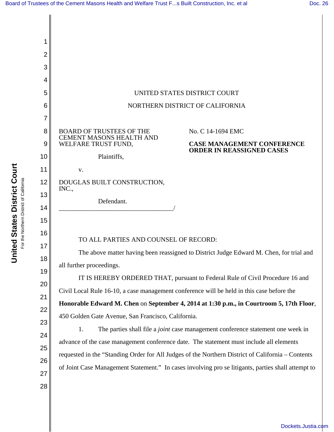[Dockets.Justia.com](http://dockets.justia.com/)

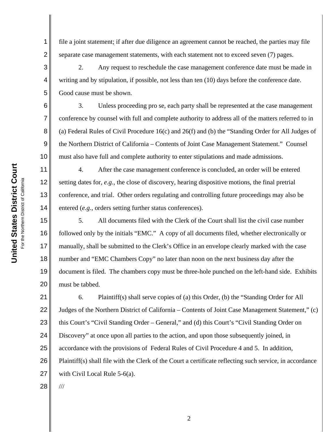1

2

3

4

5

6

7

8

9

10

11

12

13

14

15

19

20

file a joint statement; if after due diligence an agreement cannot be reached, the parties may file separate case management statements, with each statement not to exceed seven (7) pages.

2. Any request to reschedule the case management conference date must be made in writing and by stipulation, if possible, not less than ten (10) days before the conference date. Good cause must be shown.

3. Unless proceeding pro se, each party shall be represented at the case management conference by counsel with full and complete authority to address all of the matters referred to in (a) Federal Rules of Civil Procedure 16(c) and 26(f) and (b) the "Standing Order for All Judges of the Northern District of California – Contents of Joint Case Management Statement." Counsel must also have full and complete authority to enter stipulations and made admissions.

4. After the case management conference is concluded, an order will be entered setting dates for, *e.g.*, the close of discovery, hearing dispositive motions, the final pretrial conference, and trial. Other orders regulating and controlling future proceedings may also be entered (*e.g.*, orders setting further status conferences).

16 17 18 5. All documents filed with the Clerk of the Court shall list the civil case number followed only by the initials "EMC." A copy of all documents filed, whether electronically or manually, shall be submitted to the Clerk's Office in an envelope clearly marked with the case number and "EMC Chambers Copy" no later than noon on the next business day after the document is filed. The chambers copy must be three-hole punched on the left-hand side. Exhibits must be tabbed.

21 22 23 24 25 26 27 6. Plaintiff(s) shall serve copies of (a) this Order, (b) the "Standing Order for All Judges of the Northern District of California – Contents of Joint Case Management Statement," (c) this Court's "Civil Standing Order – General," and (d) this Court's "Civil Standing Order on Discovery" at once upon all parties to the action, and upon those subsequently joined, in accordance with the provisions of Federal Rules of Civil Procedure 4 and 5. In addition, Plaintiff(s) shall file with the Clerk of the Court a certificate reflecting such service, in accordance with Civil Local Rule 5-6(a).

28

///